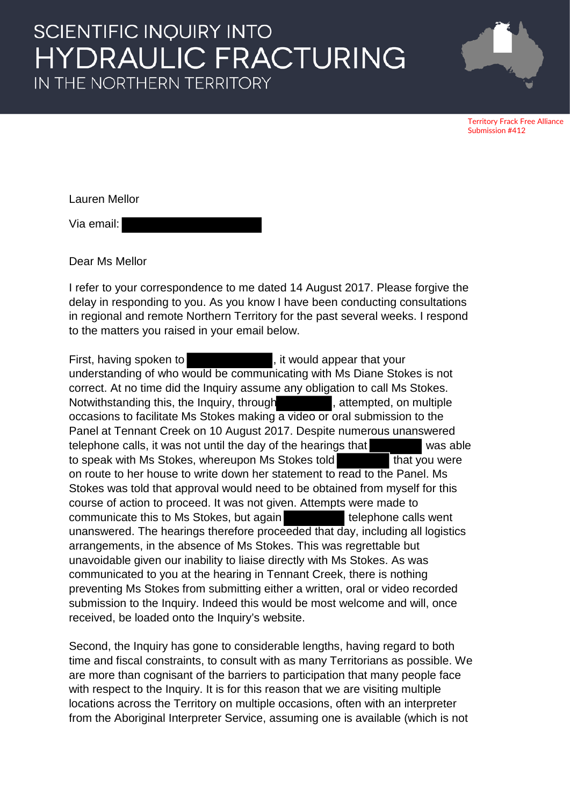## **SCIENTIFIC INQUIRY INTO HYDRAULIC FRACTURING** IN THE NORTHERN TERRITORY

Territory Frack Free Alliance Submission #412

Lauren Mellor

Via email:

Dear Ms Mellor

I refer to your correspondence to me dated 14 August 2017. Please forgive the delay in responding to you. As you know I have been conducting consultations in regional and remote Northern Territory for the past several weeks. I respond to the matters you raised in your email below.

First, having spoken to **First**, it would appear that your understanding of who would be communicating with Ms Diane Stokes is not correct. At no time did the Inquiry assume any obligation to call Ms Stokes. Notwithstanding this, the Inquiry, through , attempted, on multiple occasions to facilitate Ms Stokes making a video or oral submission to the Panel at Tennant Creek on 10 August 2017. Despite numerous unanswered telephone calls, it was not until the day of the hearings that was able to speak with Ms Stokes, whereupon Ms Stokes told that you were on route to her house to write down her statement to read to the Panel. Ms Stokes was told that approval would need to be obtained from myself for this course of action to proceed. It was not given. Attempts were made to communicate this to Ms Stokes, but again telephone calls went unanswered. The hearings therefore proceeded that day, including all logistics arrangements, in the absence of Ms Stokes. This was regrettable but unavoidable given our inability to liaise directly with Ms Stokes. As was communicated to you at the hearing in Tennant Creek, there is nothing preventing Ms Stokes from submitting either a written, oral or video recorded submission to the Inquiry. Indeed this would be most welcome and will, once received, be loaded onto the Inquiry's website.

Second, the Inquiry has gone to considerable lengths, having regard to both time and fiscal constraints, to consult with as many Territorians as possible. We are more than cognisant of the barriers to participation that many people face with respect to the Inquiry. It is for this reason that we are visiting multiple locations across the Territory on multiple occasions, often with an interpreter from the Aboriginal Interpreter Service, assuming one is available (which is not